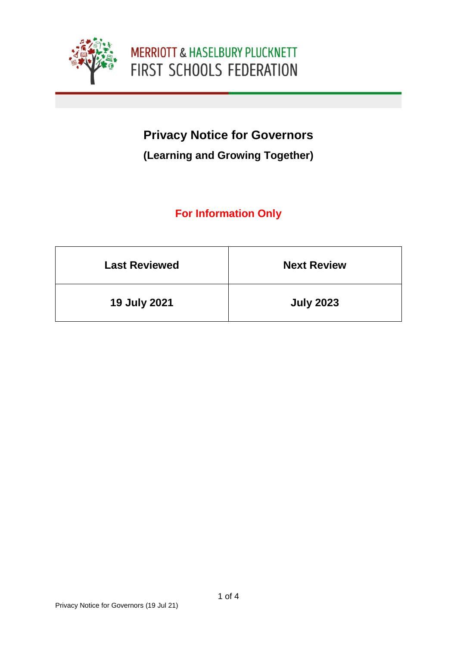

# **Privacy Notice for Governors**

### **(Learning and Growing Together)**

## **For Information Only**

| <b>Last Reviewed</b> | <b>Next Review</b> |
|----------------------|--------------------|
| <b>19 July 2021</b>  | <b>July 2023</b>   |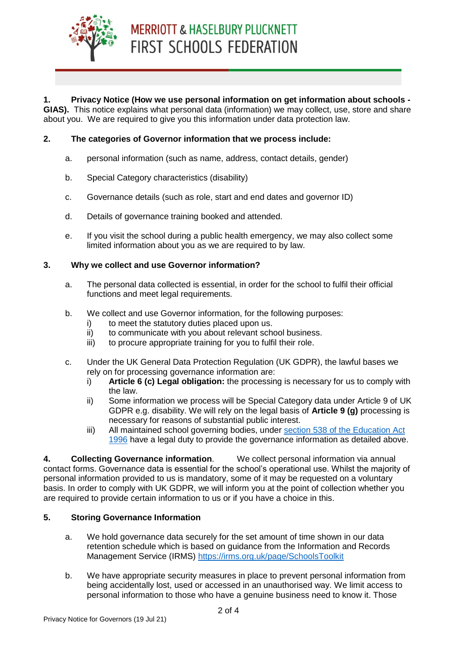

#### **1. Privacy Notice (How we use personal information on get information about schools - GIAS).** This notice explains what personal data (information) we may collect, use, store and share

about you. We are required to give you this information under data protection law.

#### **2. The categories of Governor information that we process include:**

- a. personal information (such as name, address, contact details, gender)
- b. Special Category characteristics (disability)
- c. Governance details (such as role, start and end dates and governor ID)
- d. Details of governance training booked and attended.
- e. If you visit the school during a public health emergency, we may also collect some limited information about you as we are required to by law.

#### **3. Why we collect and use Governor information?**

- a. The personal data collected is essential, in order for the school to fulfil their official functions and meet legal requirements.
- b. We collect and use Governor information, for the following purposes:
	- i) to meet the statutory duties placed upon us.
	- ii) to communicate with you about relevant school business.
	- iii) to procure appropriate training for you to fulfil their role.
- c. Under the UK General Data Protection Regulation (UK GDPR), the lawful bases we rely on for processing governance information are:
	- i) **Article 6 (c) Legal obligation:** the processing is necessary for us to comply with the law.
	- ii) Some information we process will be Special Category data under Article 9 of UK GDPR e.g. disability. We will rely on the legal basis of **Article 9 (g)** processing is necessary for reasons of substantial public interest.
	- iii) All maintained school governing bodies, under [section 538 of the Education Act](http://www.legislation.gov.uk/ukpga/1996/56/section/538)  [1996](http://www.legislation.gov.uk/ukpga/1996/56/section/538) have a legal duty to provide the governance information as detailed above.

**4. Collecting Governance information**. We collect personal information via annual contact forms. Governance data is essential for the school's operational use. Whilst the majority of personal information provided to us is mandatory, some of it may be requested on a voluntary basis. In order to comply with UK GDPR, we will inform you at the point of collection whether you are required to provide certain information to us or if you have a choice in this.

#### **5. Storing Governance Information**

- a. We hold governance data securely for the set amount of time shown in our data retention schedule which is based on guidance from the Information and Records Management Service (IRMS)<https://irms.org.uk/page/SchoolsToolkit>
- b. We have appropriate security measures in place to prevent personal information from being accidentally lost, used or accessed in an unauthorised way. We limit access to personal information to those who have a genuine business need to know it. Those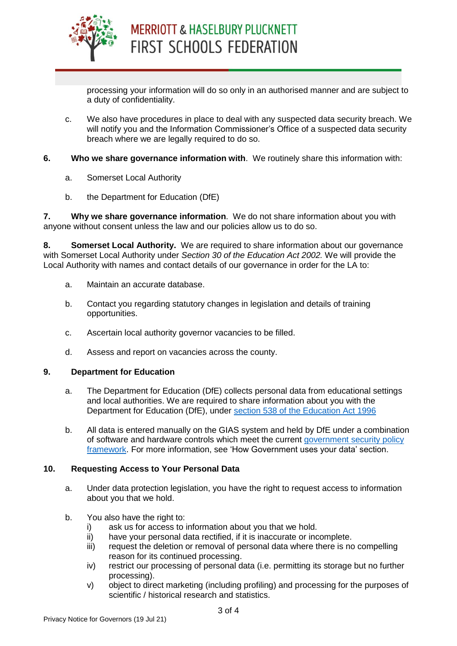

processing your information will do so only in an authorised manner and are subject to a duty of confidentiality.

- c. We also have procedures in place to deal with any suspected data security breach. We will notify you and the Information Commissioner's Office of a suspected data security breach where we are legally required to do so.
- **6. Who we share governance information with**. We routinely share this information with:
	- a. Somerset Local Authority
	- b. the Department for Education (DfE)

**7. Why we share governance information**. We do not share information about you with anyone without consent unless the law and our policies allow us to do so.

**8. Somerset Local Authority.** We are required to share information about our governance with Somerset Local Authority under *Section 30 of the Education Act 2002.* We will provide the Local Authority with names and contact details of our governance in order for the LA to:

- a. Maintain an accurate database.
- b. Contact you regarding statutory changes in legislation and details of training opportunities.
- c. Ascertain local authority governor vacancies to be filled.
- d. Assess and report on vacancies across the county.

#### **9. Department for Education**

- a. The Department for Education (DfE) collects personal data from educational settings and local authorities. We are required to share information about you with the Department for Education (DfE), under [section 538 of the Education Act 1996](http://www.legislation.gov.uk/ukpga/1996/56/section/538)
- b. All data is entered manually on the GIAS system and held by DfE under a combination of software and hardware controls which meet the current government security policy [framework.](https://www.gov.uk/government/publications/security-policy-framework) For more information, see 'How Government uses your data' section.

#### **10. Requesting Access to Your Personal Data**

- a. Under data protection legislation, you have the right to request access to information about you that we hold.
- b. You also have the right to:
	- i) ask us for access to information about you that we hold.
	- ii) have your personal data rectified, if it is inaccurate or incomplete.
	- iii) request the deletion or removal of personal data where there is no compelling reason for its continued processing.
	- iv) restrict our processing of personal data (i.e. permitting its storage but no further processing).
	- v) object to direct marketing (including profiling) and processing for the purposes of scientific / historical research and statistics.